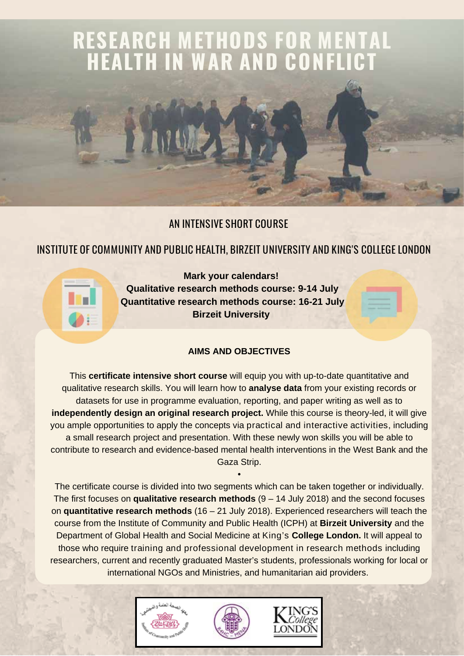# **RESEARCH METHODS FOR MENTAL HEALTH IN WAR AND CONFLICT**

## AN INTENSIVE SHORT COURSE

## INSTITUTE OF COMMUNITY AND PUBLIC HEALTH, BIRZEIT UNIVERSITY AND KING'S COLLEGE LONDON

**Mark your calendars! Qualitative research methods course: 9-14 July Quantitative research methods course: 16-21 July Birzeit University**

## **AIMS AND OBJECTIVES**

This **certificate intensive short course** will equip you with up-to-date quantitative and qualitative research skills. You will learn how to **analyse data** from your existing records or datasets for use in programme evaluation, reporting, and paper writing as well as to **independently design an original research project.** While this course is theory-led, it will give you ample opportunities to apply the concepts via practical and interactive activities, including a small research project and presentation. With these newly won skills you will be able to contribute to research and evidence-based mental health interventions in the West Bank and the Gaza Strip.

The certificate course is divided into two segments which can be taken together or individually. The first focuses on **qualitative research methods** (9 – 14 July 2018) and the second focuses on **quantitative research methods** (16 – 21 July 2018). Experienced researchers will teach the course from the Institute of Community and Public Health (ICPH) at **Birzeit University** and the Department of Global Health and Social Medicine at King's **College London.** It will appeal to those who require training and professional development in research methods including researchers, current and recently graduated Master's students, professionals working for local or international NGOs and Ministries, and humanitarian aid providers.

•